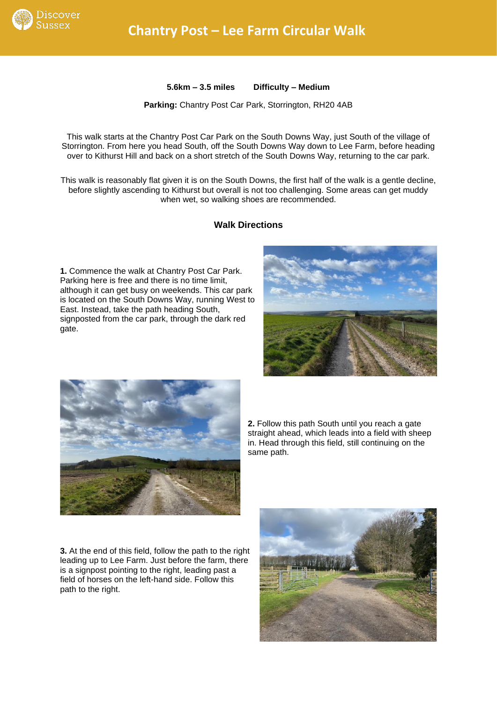

**5.6km – 3.5 miles Difficulty – Medium**

**Parking:** Chantry Post Car Park, Storrington, RH20 4AB

This walk starts at the Chantry Post Car Park on the South Downs Way, just South of the village of Storrington. From here you head South, off the South Downs Way down to Lee Farm, before heading over to Kithurst Hill and back on a short stretch of the South Downs Way, returning to the car park.

This walk is reasonably flat given it is on the South Downs, the first half of the walk is a gentle decline, before slightly ascending to Kithurst but overall is not too challenging. Some areas can get muddy when wet, so walking shoes are recommended.

## **Walk Directions**

**1.** Commence the walk at Chantry Post Car Park. Parking here is free and there is no time limit, although it can get busy on weekends. This car park is located on the South Downs Way, running West to East. Instead, take the path heading South, signposted from the car park, through the dark red gate.





**2.** Follow this path South until you reach a gate straight ahead, which leads into a field with sheep in. Head through this field, still continuing on the same path.

**3.** At the end of this field, follow the path to the right leading up to Lee Farm. Just before the farm, there is a signpost pointing to the right, leading past a field of horses on the left-hand side. Follow this path to the right.